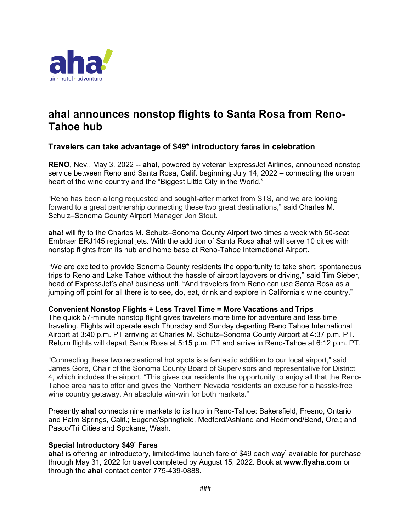

# **aha! announces nonstop flights to Santa Rosa from Reno-Tahoe hub**

# **Travelers can take advantage of \$49\* introductory fares in celebration**

**RENO**, Nev., May 3, 2022 -- **aha!**, powered by veteran ExpressJet Airlines, announced nonstop service between Reno and Santa Rosa, Calif. beginning July 14, 2022 – connecting the urban heart of the wine country and the "Biggest Little City in the World."

"Reno has been a long requested and sought-after market from STS, and we are looking forward to a great partnership connecting these two great destinations," said Charles M. Schulz–Sonoma County Airport Manager Jon Stout.

**aha!** will fly to the Charles M. Schulz–Sonoma County Airport two times a week with 50-seat Embraer ERJ145 regional jets. With the addition of Santa Rosa **aha!** will serve 10 cities with nonstop flights from its hub and home base at Reno-Tahoe International Airport.

"We are excited to provide Sonoma County residents the opportunity to take short, spontaneous trips to Reno and Lake Tahoe without the hassle of airport layovers or driving," said Tim Sieber, head of ExpressJet's aha! business unit. "And travelers from Reno can use Santa Rosa as a jumping off point for all there is to see, do, eat, drink and explore in California's wine country."

## **Convenient Nonstop Flights + Less Travel Time = More Vacations and Trips**

The quick 57-minute nonstop flight gives travelers more time for adventure and less time traveling. Flights will operate each Thursday and Sunday departing Reno Tahoe International Airport at 3:40 p.m. PT arriving at Charles M. Schulz–Sonoma County Airport at 4:37 p.m. PT. Return flights will depart Santa Rosa at 5:15 p.m. PT and arrive in Reno-Tahoe at 6:12 p.m. PT.

"Connecting these two recreational hot spots is a fantastic addition to our local airport," said James Gore, Chair of the Sonoma County Board of Supervisors and representative for District 4, which includes the airport. "This gives our residents the opportunity to enjoy all that the Reno-Tahoe area has to offer and gives the Northern Nevada residents an excuse for a hassle-free wine country getaway. An absolute win-win for both markets."

Presently **aha!** connects nine markets to its hub in Reno-Tahoe: Bakersfield, Fresno, Ontario and Palm Springs, Calif.; Eugene/Springfield, Medford/Ashland and Redmond/Bend, Ore.; and Pasco/Tri Cities and Spokane, Wash.

## **Special Introductory \$49\* Fares**

**aha!** is offering an introductory, limited-time launch fare of \$49 each way\* available for purchase through May 31, 2022 for travel completed by August 15, 2022. Book at **www.flyaha.com** or through the **aha!** contact center 775-439-0888.